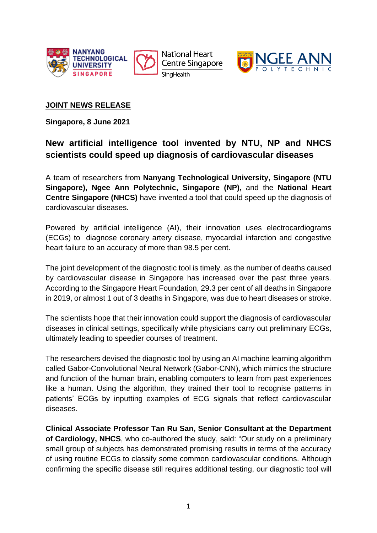

**National Heart Centre Singapore** SingHealth



# **JOINT NEWS RELEASE**

**Singapore, 8 June 2021**

# **New artificial intelligence tool invented by NTU, NP and NHCS scientists could speed up diagnosis of cardiovascular diseases**

A team of researchers from **Nanyang Technological University, Singapore (NTU Singapore), Ngee Ann Polytechnic, Singapore (NP),** and the **National Heart Centre Singapore (NHCS)** have invented a tool that could speed up the diagnosis of cardiovascular diseases.

Powered by artificial intelligence (AI), their innovation uses electrocardiograms (ECGs) to diagnose coronary artery disease, myocardial infarction and congestive heart failure to an accuracy of more than 98.5 per cent.

The joint development of the diagnostic tool is timely, as the number of deaths caused by cardiovascular disease in Singapore has increased over the past three years. According to the Singapore Heart Foundation, 29.3 per cent of all deaths in Singapore in 2019, or almost 1 out of 3 deaths in Singapore, was due to heart diseases or stroke.

The scientists hope that their innovation could support the diagnosis of cardiovascular diseases in clinical settings, specifically while physicians carry out preliminary ECGs, ultimately leading to speedier courses of treatment.

The researchers devised the diagnostic tool by using an AI machine learning algorithm called Gabor-Convolutional Neural Network (Gabor-CNN), which mimics the structure and function of the human brain, enabling computers to learn from past experiences like a human. Using the algorithm, they trained their tool to recognise patterns in patients' ECGs by inputting examples of ECG signals that reflect cardiovascular diseases.

**Clinical Associate Professor Tan Ru San, Senior Consultant at the Department of Cardiology, NHCS**, who co-authored the study, said: "Our study on a preliminary small group of subjects has demonstrated promising results in terms of the accuracy of using routine ECGs to classify some common cardiovascular conditions. Although confirming the specific disease still requires additional testing, our diagnostic tool will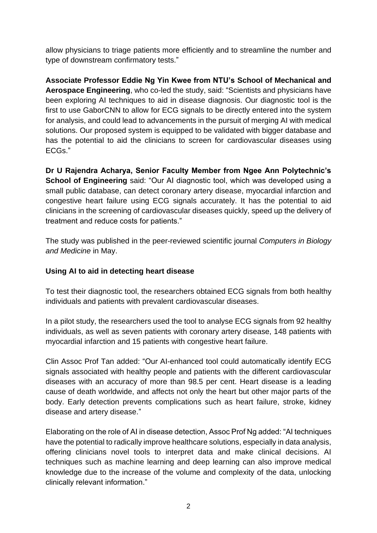allow physicians to triage patients more efficiently and to streamline the number and type of downstream confirmatory tests."

**Associate Professor Eddie Ng Yin Kwee from NTU's School of Mechanical and Aerospace Engineering**, who co-led the study, said: "Scientists and physicians have been exploring AI techniques to aid in disease diagnosis. Our diagnostic tool is the first to use GaborCNN to allow for ECG signals to be directly entered into the system for analysis, and could lead to advancements in the pursuit of merging AI with medical solutions. Our proposed system is equipped to be validated with bigger database and has the potential to aid the clinicians to screen for cardiovascular diseases using ECGs."

**Dr U Rajendra Acharya, Senior Faculty Member from Ngee Ann Polytechnic's School of Engineering** said: "Our AI diagnostic tool, which was developed using a small public database, can detect coronary artery disease, myocardial infarction and congestive heart failure using ECG signals accurately. It has the potential to aid clinicians in the screening of cardiovascular diseases quickly, speed up the delivery of treatment and reduce costs for patients."

The study was published in the peer-reviewed scientific journal *Computers in Biology and Medicine* in May.

## **Using AI to aid in detecting heart disease**

To test their diagnostic tool, the researchers obtained ECG signals from both healthy individuals and patients with prevalent cardiovascular diseases.

In a pilot study, the researchers used the tool to analyse ECG signals from 92 healthy individuals, as well as seven patients with coronary artery disease, 148 patients with myocardial infarction and 15 patients with congestive heart failure.

Clin Assoc Prof Tan added: "Our AI-enhanced tool could automatically identify ECG signals associated with healthy people and patients with the different cardiovascular diseases with an accuracy of more than 98.5 per cent. Heart disease is a leading cause of death worldwide, and affects not only the heart but other major parts of the body. Early detection prevents complications such as heart failure, stroke, kidney disease and artery disease."

Elaborating on the role of AI in disease detection, Assoc Prof Ng added: "AI techniques have the potential to radically improve healthcare solutions, especially in data analysis, offering clinicians novel tools to interpret data and make clinical decisions. AI techniques such as machine learning and deep learning can also improve medical knowledge due to the increase of the volume and complexity of the data, unlocking clinically relevant information."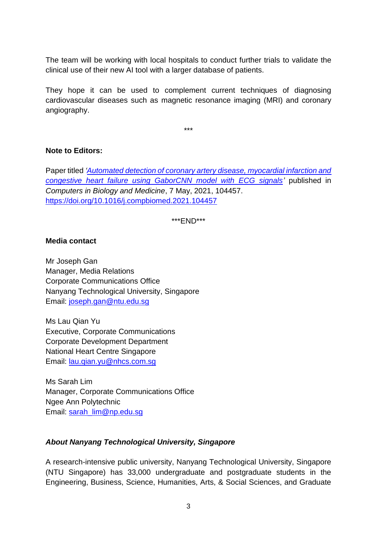The team will be working with local hospitals to conduct further trials to validate the clinical use of their new AI tool with a larger database of patients.

They hope it can be used to complement current techniques of diagnosing cardiovascular diseases such as magnetic resonance imaging (MRI) and coronary angiography.

\*\*\*

# **Note to Editors:**

Paper titled *['Automated detection of coronary artery disease, myocardial infarction and](https://www3.ntu.edu.sg/CorpComms2/Releases/NR2021/NR_210608_ECG/Automated%20detection%20of%20cardiocvascular%20disease%20with%20ECG%20signals.pdf)  [congestive heart failure using GaborCNN model with ECG signals'](https://www3.ntu.edu.sg/CorpComms2/Releases/NR2021/NR_210608_ECG/Automated%20detection%20of%20cardiocvascular%20disease%20with%20ECG%20signals.pdf)* published in *Computers in Biology and Medicine*, 7 May, 2021, 104457. <https://doi.org/10.1016/j.compbiomed.2021.104457>

\*\*\*END\*\*\*

### **Media contact**

Mr Joseph Gan Manager, Media Relations Corporate Communications Office Nanyang Technological University, Singapore Email: [joseph.gan@ntu.edu.sg](mailto:joseph.gan@ntu.edu.sg)

Ms Lau Qian Yu Executive, Corporate Communications Corporate Development Department National Heart Centre Singapore Email: [lau.qian.yu@nhcs.com.sg](mailto:lau.qian.yu@nhcs.com.sg)

Ms Sarah Lim Manager, Corporate Communications Office Ngee Ann Polytechnic Email: [sarah\\_lim@np.edu.sg](mailto:sarah_lim@np.edu.sg)

### *About Nanyang Technological University, Singapore*

A research-intensive public university, Nanyang Technological University, Singapore (NTU Singapore) has 33,000 undergraduate and postgraduate students in the Engineering, Business, Science, Humanities, Arts, & Social Sciences, and Graduate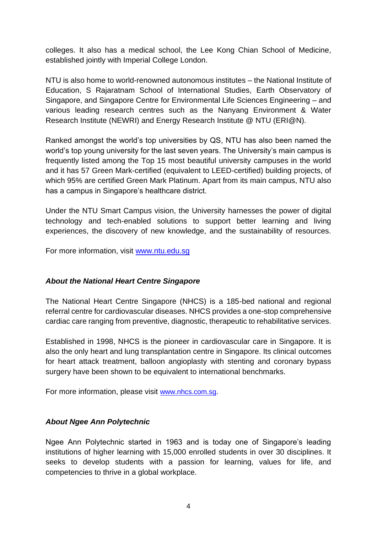colleges. It also has a medical school, the Lee Kong Chian School of Medicine, established jointly with Imperial College London.

NTU is also home to world-renowned autonomous institutes – the National Institute of Education, S Rajaratnam School of International Studies, Earth Observatory of Singapore, and Singapore Centre for Environmental Life Sciences Engineering – and various leading research centres such as the Nanyang Environment & Water Research Institute (NEWRI) and Energy Research Institute @ NTU (ERI@N).

Ranked amongst the world's top universities by QS, NTU has also been named the world's top young university for the last seven years. The University's main campus is frequently listed among the Top 15 most beautiful university campuses in the world and it has 57 Green Mark-certified (equivalent to LEED-certified) building projects, of which 95% are certified Green Mark Platinum. Apart from its main campus, NTU also has a campus in Singapore's healthcare district.

Under the NTU Smart Campus vision, the University harnesses the power of digital technology and tech-enabled solutions to support better learning and living experiences, the discovery of new knowledge, and the sustainability of resources.

For more information, visit [www.ntu.edu.sg](http://www.ntu.edu.sg/)

#### *About the National Heart Centre Singapore*

The National Heart Centre Singapore (NHCS) is a 185-bed national and regional referral centre for cardiovascular diseases. NHCS provides a one-stop comprehensive cardiac care ranging from preventive, diagnostic, therapeutic to rehabilitative services.

Established in 1998, NHCS is the pioneer in cardiovascular care in Singapore. It is also the only heart and lung transplantation centre in Singapore. Its clinical outcomes for heart attack treatment, balloon angioplasty with stenting and coronary bypass surgery have been shown to be equivalent to international benchmarks.

For more information, please visit [www.nhcs.com.sg](http://www.nhcs.com.sg/).

#### *About Ngee Ann Polytechnic*

Ngee Ann Polytechnic started in 1963 and is today one of Singapore's leading institutions of higher learning with 15,000 enrolled students in over 30 disciplines. It seeks to develop students with a passion for learning, values for life, and competencies to thrive in a global workplace.